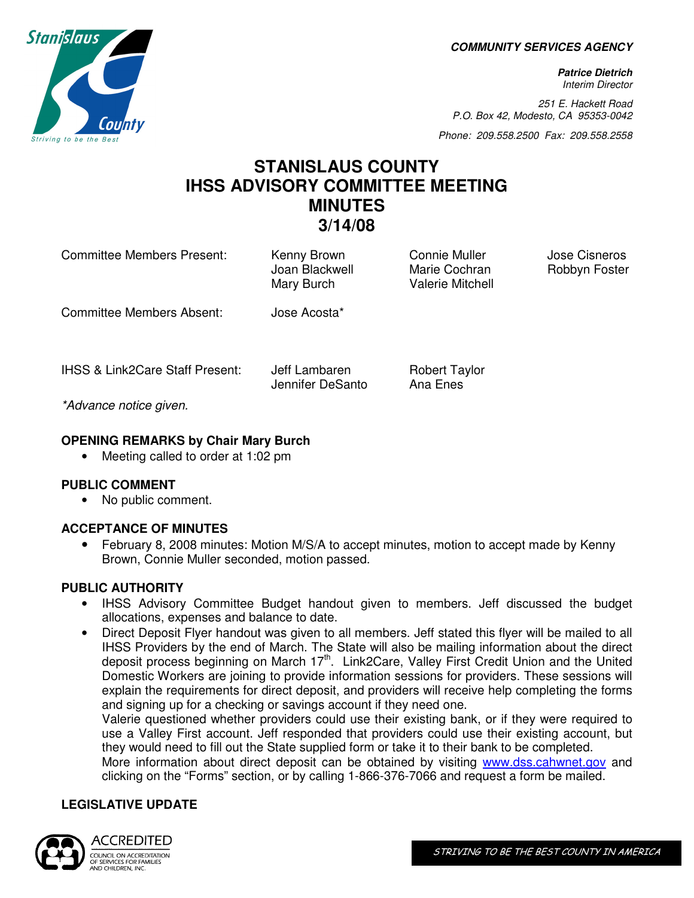**COMMUNITY SERVICES AGENCY** 

**Patrice Dietrich**  Interim Director

251 E. Hackett Road P.O. Box 42, Modesto, CA 95353-0042

Phone: 209.558.2500 Fax: 209.558.2558

# **STANISLAUS COUNTY IHSS ADVISORY COMMITTEE MEETING MINUTES 3/14/08**

Mary Burch Valerie Mitchell

Committee Members Present: Kenny Brown Connie Muller Jose Cisneros

Committee Members Absent: Jose Acosta\*

IHSS & Link2Care Staff Present: Jeff Lambaren Robert Taylor

Jennifer DeSanto Ana Enes

Joan Blackwell Marie Cochran Robbyn Foster

\*Advance notice given.

### **OPENING REMARKS by Chair Mary Burch**

• Meeting called to order at 1:02 pm

#### **PUBLIC COMMENT**

• No public comment.

#### **ACCEPTANCE OF MINUTES**

• February 8, 2008 minutes: Motion M/S/A to accept minutes, motion to accept made by Kenny Brown, Connie Muller seconded, motion passed.

#### **PUBLIC AUTHORITY**

- IHSS Advisory Committee Budget handout given to members. Jeff discussed the budget allocations, expenses and balance to date.
- Direct Deposit Flyer handout was given to all members. Jeff stated this flyer will be mailed to all IHSS Providers by the end of March. The State will also be mailing information about the direct deposit process beginning on March 17<sup>th</sup>. Link2Care, Valley First Credit Union and the United Domestic Workers are joining to provide information sessions for providers. These sessions will explain the requirements for direct deposit, and providers will receive help completing the forms and signing up for a checking or savings account if they need one.

Valerie questioned whether providers could use their existing bank, or if they were required to use a Valley First account. Jeff responded that providers could use their existing account, but they would need to fill out the State supplied form or take it to their bank to be completed.

More information about direct deposit can be obtained by visiting www.dss.cahwnet.gov and clicking on the "Forms" section, or by calling 1-866-376-7066 and request a form be mailed.

#### **LEGISLATIVE UPDATE**



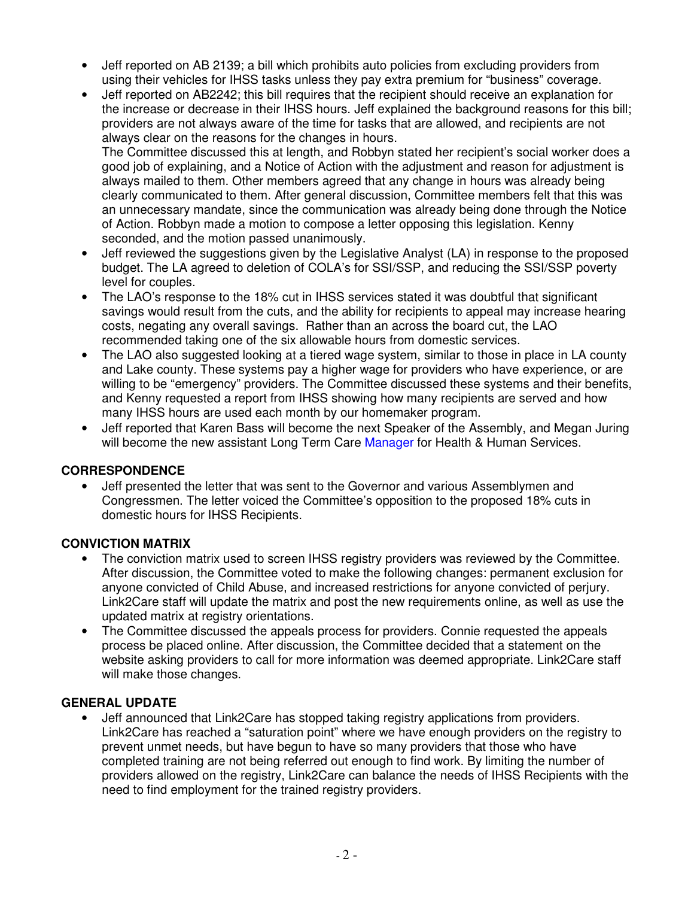- Jeff reported on AB 2139; a bill which prohibits auto policies from excluding providers from using their vehicles for IHSS tasks unless they pay extra premium for "business" coverage.
- Jeff reported on AB2242; this bill requires that the recipient should receive an explanation for the increase or decrease in their IHSS hours. Jeff explained the background reasons for this bill; providers are not always aware of the time for tasks that are allowed, and recipients are not always clear on the reasons for the changes in hours.

The Committee discussed this at length, and Robbyn stated her recipient's social worker does a good job of explaining, and a Notice of Action with the adjustment and reason for adjustment is always mailed to them. Other members agreed that any change in hours was already being clearly communicated to them. After general discussion, Committee members felt that this was an unnecessary mandate, since the communication was already being done through the Notice of Action. Robbyn made a motion to compose a letter opposing this legislation. Kenny seconded, and the motion passed unanimously.

- Jeff reviewed the suggestions given by the Legislative Analyst (LA) in response to the proposed budget. The LA agreed to deletion of COLA's for SSI/SSP, and reducing the SSI/SSP poverty level for couples.
- The LAO's response to the 18% cut in IHSS services stated it was doubtful that significant savings would result from the cuts, and the ability for recipients to appeal may increase hearing costs, negating any overall savings. Rather than an across the board cut, the LAO recommended taking one of the six allowable hours from domestic services.
- The LAO also suggested looking at a tiered wage system, similar to those in place in LA county and Lake county. These systems pay a higher wage for providers who have experience, or are willing to be "emergency" providers. The Committee discussed these systems and their benefits, and Kenny requested a report from IHSS showing how many recipients are served and how many IHSS hours are used each month by our homemaker program.
- Jeff reported that Karen Bass will become the next Speaker of the Assembly, and Megan Juring will become the new assistant Long Term Care Manager for Health & Human Services.

#### **CORRESPONDENCE**

• Jeff presented the letter that was sent to the Governor and various Assemblymen and Congressmen. The letter voiced the Committee's opposition to the proposed 18% cuts in domestic hours for IHSS Recipients.

## **CONVICTION MATRIX**

- The conviction matrix used to screen IHSS registry providers was reviewed by the Committee. After discussion, the Committee voted to make the following changes: permanent exclusion for anyone convicted of Child Abuse, and increased restrictions for anyone convicted of perjury. Link2Care staff will update the matrix and post the new requirements online, as well as use the updated matrix at registry orientations.
- The Committee discussed the appeals process for providers. Connie requested the appeals process be placed online. After discussion, the Committee decided that a statement on the website asking providers to call for more information was deemed appropriate. Link2Care staff will make those changes.

#### **GENERAL UPDATE**

• Jeff announced that Link2Care has stopped taking registry applications from providers. Link2Care has reached a "saturation point" where we have enough providers on the registry to prevent unmet needs, but have begun to have so many providers that those who have completed training are not being referred out enough to find work. By limiting the number of providers allowed on the registry, Link2Care can balance the needs of IHSS Recipients with the need to find employment for the trained registry providers.